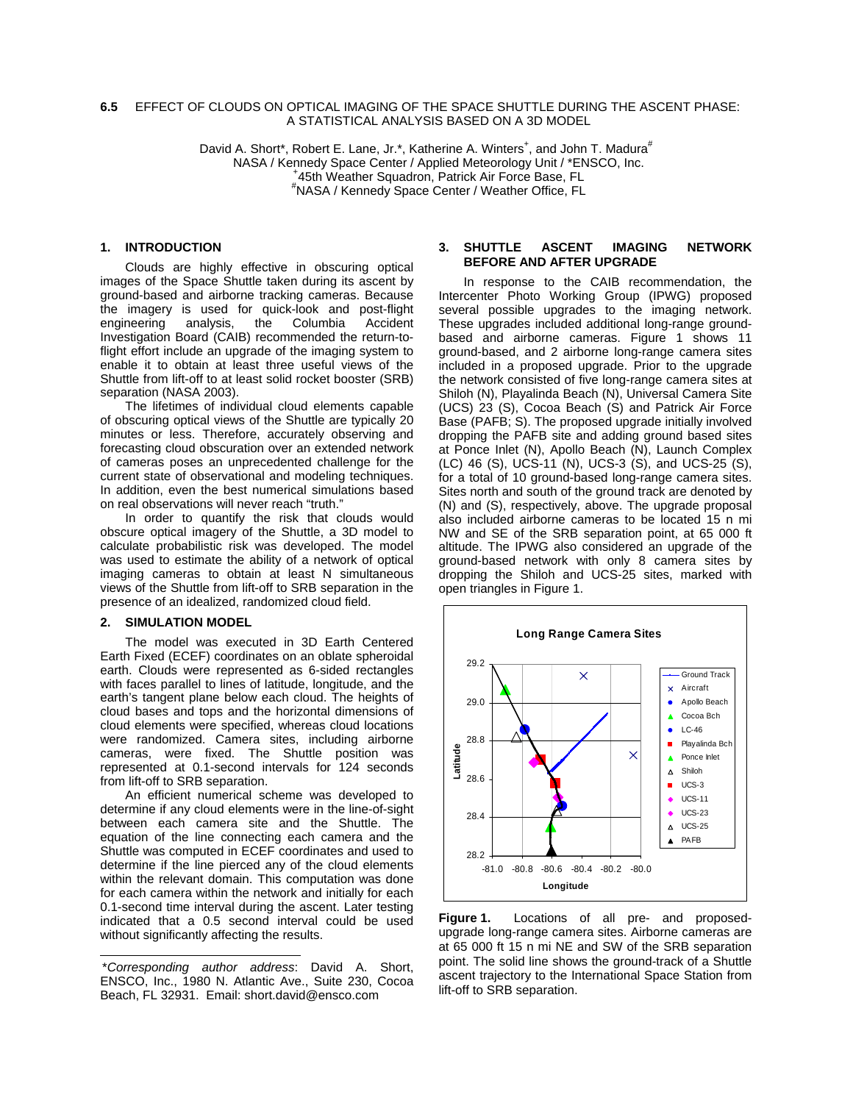### **6.5** EFFECT OF CLOUDS ON OPTICAL IMAGING OF THE SPACE SHUTTLE DURING THE ASCENT PHASE: A STATISTICAL ANALYSIS BASED ON A 3D MODEL

David A. Short\*, Robert E. Lane, Jr.\*, Katherine A. Winters<sup>+</sup>, and John T. Madura<sup>#</sup> NASA / Kennedy Space Center / Applied Meteorology Unit / \*ENSCO, Inc. 45th Weather Squadron, Patrick Air Force Base, FL # NASA / Kennedy Space Center / Weather Office, FL

## **1. INTRODUCTION**

Clouds are highly effective in obscuring optical images of the Space Shuttle taken during its ascent by ground-based and airborne tracking cameras. Because the imagery is used for quick-look and post-flight<br>engineering analysis, the Columbia Accident engineering analysis, the Columbia Accident Investigation Board (CAIB) recommended the return-toflight effort include an upgrade of the imaging system to enable it to obtain at least three useful views of the Shuttle from lift-off to at least solid rocket booster (SRB) separation (NASA 2003).

The lifetimes of individual cloud elements capable of obscuring optical views of the Shuttle are typically 20 minutes or less. Therefore, accurately observing and forecasting cloud obscuration over an extended network of cameras poses an unprecedented challenge for the current state of observational and modeling techniques. In addition, even the best numerical simulations based on real observations will never reach "truth."

In order to quantify the risk that clouds would obscure optical imagery of the Shuttle, a 3D model to calculate probabilistic risk was developed. The model was used to estimate the ability of a network of optical imaging cameras to obtain at least N simultaneous views of the Shuttle from lift-off to SRB separation in the presence of an idealized, randomized cloud field.

### **2. SIMULATION MODEL**

-

The model was executed in 3D Earth Centered Earth Fixed (ECEF) coordinates on an oblate spheroidal earth. Clouds were represented as 6-sided rectangles with faces parallel to lines of latitude, longitude, and the earth's tangent plane below each cloud. The heights of cloud bases and tops and the horizontal dimensions of cloud elements were specified, whereas cloud locations were randomized. Camera sites, including airborne cameras, were fixed. The Shuttle position was represented at 0.1-second intervals for 124 seconds from lift-off to SRB separation.

An efficient numerical scheme was developed to determine if any cloud elements were in the line-of-sight between each camera site and the Shuttle. The equation of the line connecting each camera and the Shuttle was computed in ECEF coordinates and used to determine if the line pierced any of the cloud elements within the relevant domain. This computation was done for each camera within the network and initially for each 0.1-second time interval during the ascent. Later testing indicated that a 0.5 second interval could be used without significantly affecting the results.

### **3. SHUTTLE ASCENT IMAGING NETWORK BEFORE AND AFTER UPGRADE**

In response to the CAIB recommendation, the Intercenter Photo Working Group (IPWG) proposed several possible upgrades to the imaging network. These upgrades included additional long-range groundbased and airborne cameras. Figure 1 shows 11 ground-based, and 2 airborne long-range camera sites included in a proposed upgrade. Prior to the upgrade the network consisted of five long-range camera sites at Shiloh (N), Playalinda Beach (N), Universal Camera Site (UCS) 23 (S), Cocoa Beach (S) and Patrick Air Force Base (PAFB; S). The proposed upgrade initially involved dropping the PAFB site and adding ground based sites at Ponce Inlet (N), Apollo Beach (N), Launch Complex (LC) 46 (S), UCS-11 (N), UCS-3 (S), and UCS-25 (S), for a total of 10 ground-based long-range camera sites. Sites north and south of the ground track are denoted by (N) and (S), respectively, above. The upgrade proposal also included airborne cameras to be located 15 n mi NW and SE of the SRB separation point, at 65 000 ft altitude. The IPWG also considered an upgrade of the ground-based network with only 8 camera sites by dropping the Shiloh and UCS-25 sites, marked with open triangles in Figure 1.



**Figure 1.** Locations of all pre- and proposedupgrade long-range camera sites. Airborne cameras are at 65 000 ft 15 n mi NE and SW of the SRB separation point. The solid line shows the ground-track of a Shuttle ascent trajectory to the International Space Station from lift-off to SRB separation.

<span id="page-0-0"></span><sup>\*</sup>*Corresponding author address*: David A. Short, ENSCO, Inc., 1980 N. Atlantic Ave., Suite 230, Cocoa Beach, FL 32931. Email: short.david@ensco.com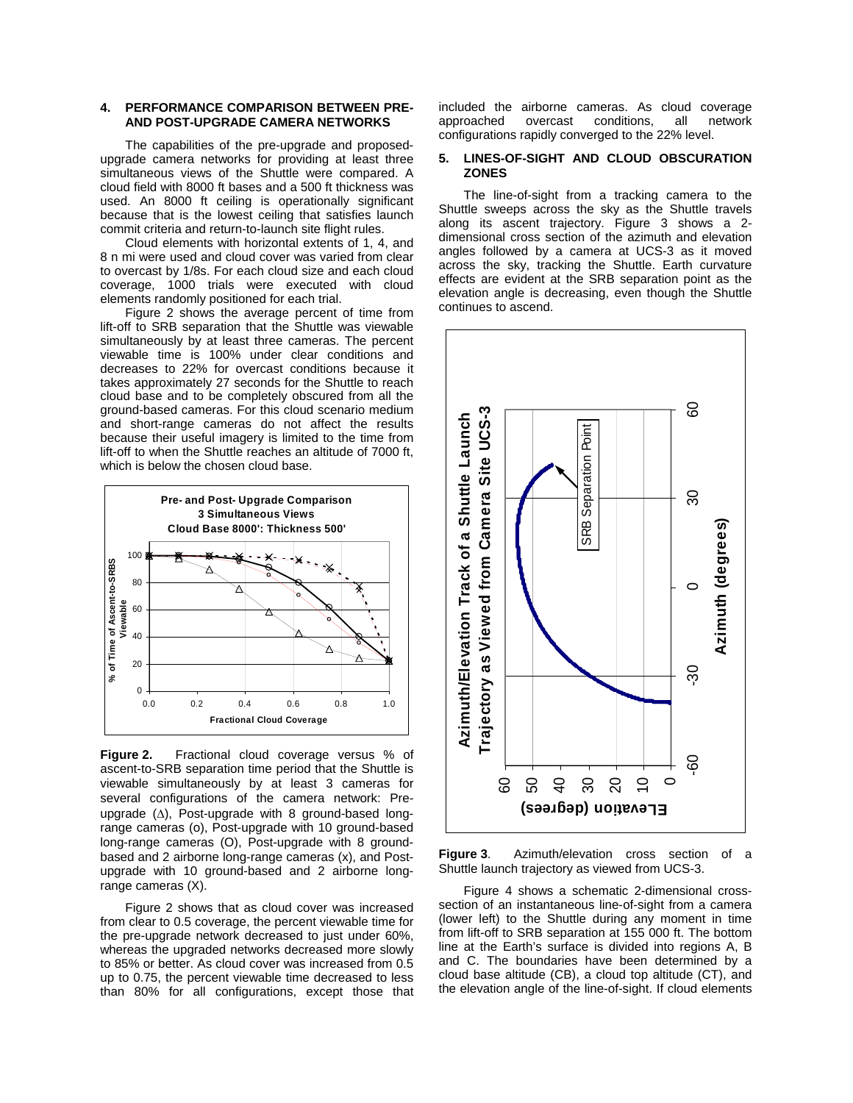### **4. PERFORMANCE COMPARISON BETWEEN PRE-AND POST-UPGRADE CAMERA NETWORKS**

The capabilities of the pre-upgrade and proposedupgrade camera networks for providing at least three simultaneous views of the Shuttle were compared. A cloud field with 8000 ft bases and a 500 ft thickness was used. An 8000 ft ceiling is operationally significant because that is the lowest ceiling that satisfies launch commit criteria and return-to-launch site flight rules.

Cloud elements with horizontal extents of 1, 4, and 8 n mi were used and cloud cover was varied from clear to overcast by 1/8s. For each cloud size and each cloud coverage, 1000 trials were executed with cloud elements randomly positioned for each trial.

Figure 2 shows the average percent of time from lift-off to SRB separation that the Shuttle was viewable simultaneously by at least three cameras. The percent viewable time is 100% under clear conditions and decreases to 22% for overcast conditions because it takes approximately 27 seconds for the Shuttle to reach cloud base and to be completely obscured from all the ground-based cameras. For this cloud scenario medium and short-range cameras do not affect the results because their useful imagery is limited to the time from lift-off to when the Shuttle reaches an altitude of 7000 ft, which is below the chosen cloud base.



**Figure 2.** Fractional cloud coverage versus % of ascent-to-SRB separation time period that the Shuttle is viewable simultaneously by at least 3 cameras for several configurations of the camera network: Preupgrade (∆), Post-upgrade with 8 ground-based longrange cameras (o), Post-upgrade with 10 ground-based long-range cameras (O), Post-upgrade with 8 groundbased and 2 airborne long-range cameras (x), and Postupgrade with 10 ground-based and 2 airborne longrange cameras (X).

Figure 2 shows that as cloud cover was increased from clear to 0.5 coverage, the percent viewable time for the pre-upgrade network decreased to just under 60%, whereas the upgraded networks decreased more slowly to 85% or better. As cloud cover was increased from 0.5 up to 0.75, the percent viewable time decreased to less than 80% for all configurations, except those that included the airborne cameras. As cloud coverage approached overcast conditions, all network configurations rapidly converged to the 22% level.

### **5. LINES-OF-SIGHT AND CLOUD OBSCURATION ZONES**

The line-of-sight from a tracking camera to the Shuttle sweeps across the sky as the Shuttle travels along its ascent trajectory. Figure 3 shows a 2 dimensional cross section of the azimuth and elevation angles followed by a camera at UCS-3 as it moved across the sky, tracking the Shuttle. Earth curvature effects are evident at the SRB separation point as the elevation angle is decreasing, even though the Shuttle continues to ascend.



**Figure 3**. Azimuth/elevation cross section of a Shuttle launch trajectory as viewed from UCS-3.

Figure 4 shows a schematic 2-dimensional crosssection of an instantaneous line-of-sight from a camera (lower left) to the Shuttle during any moment in time from lift-off to SRB separation at 155 000 ft. The bottom line at the Earth's surface is divided into regions A, B and C. The boundaries have been determined by a cloud base altitude (CB), a cloud top altitude (CT), and the elevation angle of the line-of-sight. If cloud elements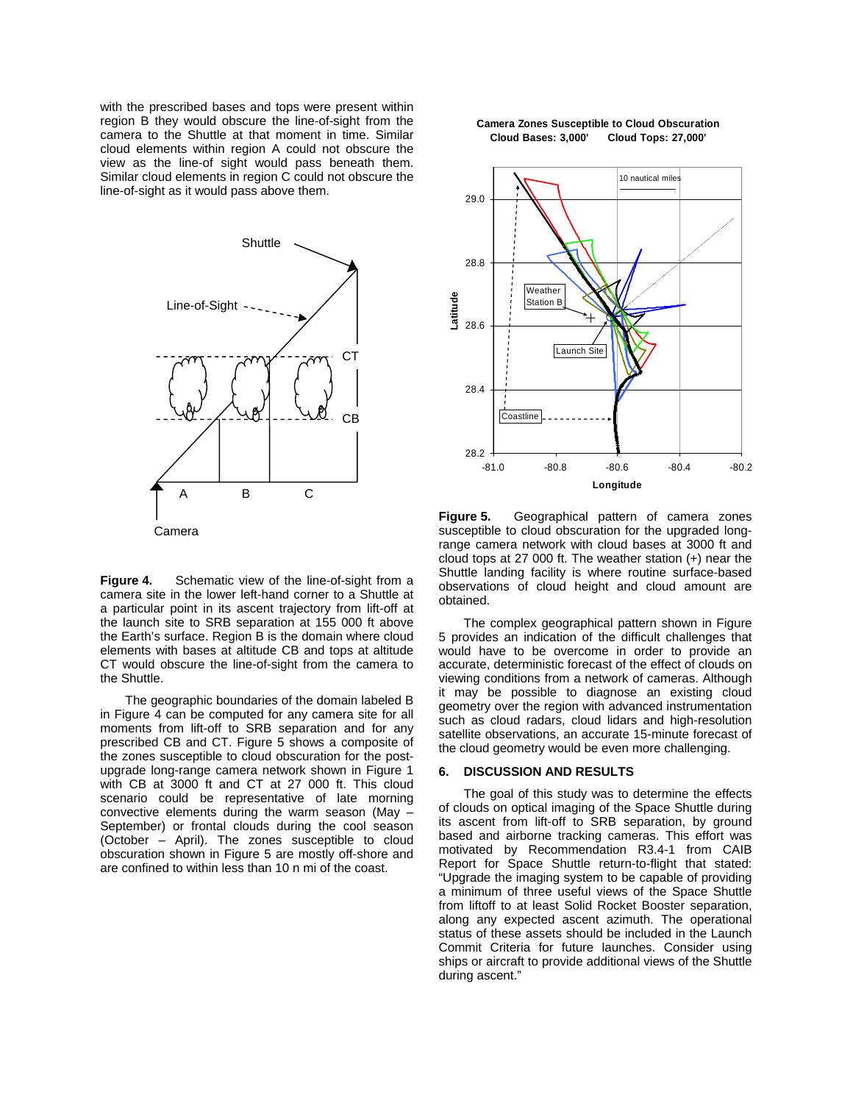with the prescribed bases and tops were present within region B they would obscure the line-of-sight from the camera to the Shuttle at that moment in time. Similar cloud elements within region A could not obscure the view as the line-of sight would pass beneath them. Similar cloud elements in region C could not obscure the line-of-sight as it would pass above them.



**Figure 4.** Schematic view of the line-of-sight from a camera site in the lower left-hand corner to a Shuttle at a particular point in its ascent trajectory from lift-off at the launch site to SRB separation at 155 000 ft above the Earth's surface. Region B is the domain where cloud elements with bases at altitude CB and tops at altitude CT would obscure the line-of-sight from the camera to the Shuttle.

The geographic boundaries of the domain labeled B in Figure 4 can be computed for any camera site for all moments from lift-off to SRB separation and for any prescribed CB and CT. Figure 5 shows a composite of the zones susceptible to cloud obscuration for the postupgrade long-range camera network shown in Figure 1 with CB at 3000 ft and CT at 27 000 ft. This cloud scenario could be representative of late morning convective elements during the warm season (May – September) or frontal clouds during the cool season (October – April). The zones susceptible to cloud obscuration shown in Figure 5 are mostly off-shore and are confined to within less than 10 n mi of the coast.

#### **Camera Zones Susceptible to Cloud Obscuration Cloud Bases: 3,000' Cloud Tops: 27,000'**



**Figure 5.** Geographical pattern of camera zones susceptible to cloud obscuration for the upgraded longrange camera network with cloud bases at 3000 ft and cloud tops at 27 000 ft. The weather station (+) near the Shuttle landing facility is where routine surface-based observations of cloud height and cloud amount are obtained.

The complex geographical pattern shown in Figure 5 provides an indication of the difficult challenges that would have to be overcome in order to provide an accurate, deterministic forecast of the effect of clouds on viewing conditions from a network of cameras. Although it may be possible to diagnose an existing cloud geometry over the region with advanced instrumentation such as cloud radars, cloud lidars and high-resolution satellite observations, an accurate 15-minute forecast of the cloud geometry would be even more challenging.

#### **6. DISCUSSION AND RESULTS**

The goal of this study was to determine the effects of clouds on optical imaging of the Space Shuttle during its ascent from lift-off to SRB separation, by ground based and airborne tracking cameras. This effort was motivated by Recommendation R3.4-1 from CAIB Report for Space Shuttle return-to-flight that stated: "Upgrade the imaging system to be capable of providing a minimum of three useful views of the Space Shuttle from liftoff to at least Solid Rocket Booster separation, along any expected ascent azimuth. The operational status of these assets should be included in the Launch Commit Criteria for future launches. Consider using ships or aircraft to provide additional views of the Shuttle during ascent."